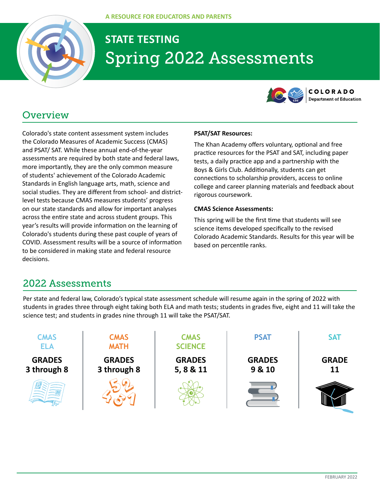

# **STATE TESTING** Spring 2022 Assessments



# **Overview**

Colorado's state content assessment system includes the Colorado Measures of Academic Success (CMAS) and PSAT/ SAT. While these annual end-of-the-year assessments are required by both state and federal laws, more importantly, they are the only common measure of students' achievement of the Colorado Academic Standards in English language arts, math, science and social studies. They are different from school- and districtlevel tests because CMAS measures students' progress on our state standards and allow for important analyses across the entire state and across student groups. This year's results will provide information on the learning of Colorado's students during these past couple of years of COVID. Assessment results will be a source of information to be considered in making state and federal resource decisions.

### **PSAT/SAT Resources:**

The Khan Academy offers voluntary, optional and free practice resources for the PSAT and SAT, including paper tests, a daily practice app and a partnership with the Boys & Girls Club. Additionally, students can get connections to scholarship providers, access to online college and career planning materials and feedback about rigorous coursework.

#### **CMAS Science Assessments:**

This spring will be the first time that students will see science items developed specifically to the revised Colorado Academic Standards. Results for this year will be based on percentile ranks.

### 2022 Assessments

Per state and federal law, Colorado's typical state assessment schedule will resume again in the spring of 2022 with students in grades three through eight taking both ELA and math tests; students in grades five, eight and 11 will take the science test; and students in grades nine through 11 will take the PSAT/SAT.

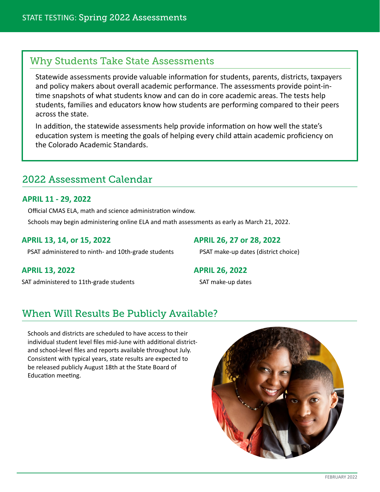### Why Students Take State Assessments

Statewide assessments provide valuable information for students, parents, districts, taxpayers and policy makers about overall academic performance. The assessments provide point-intime snapshots of what students know and can do in core academic areas. The tests help students, families and educators know how students are performing compared to their peers across the state.

In addition, the statewide assessments help provide information on how well the state's education system is meeting the goals of helping every child attain academic proficiency on the Colorado Academic Standards.

### 2022 Assessment Calendar

### **APRIL 11 - 29, 2022**

Official CMAS ELA, math and science administration window.

Schools may begin administering online ELA and math assessments as early as March 21, 2022.

### **APRIL 13, 14, or 15, 2022**

PSAT administered to ninth- and 10th-grade students

**APRIL 26, 27 or 28, 2022**

PSAT make-up dates (district choice)

**APRIL 13, 2022**

SAT administered to 11th-grade students

### **APRIL 26, 2022**

SAT make-up dates

# When Will Results Be Publicly Available?

Schools and districts are scheduled to have access to their individual student level files mid-June with additional districtand school-level files and reports available throughout July. Consistent with typical years, state results are expected to be released publicly August 18th at the State Board of Education meeting.